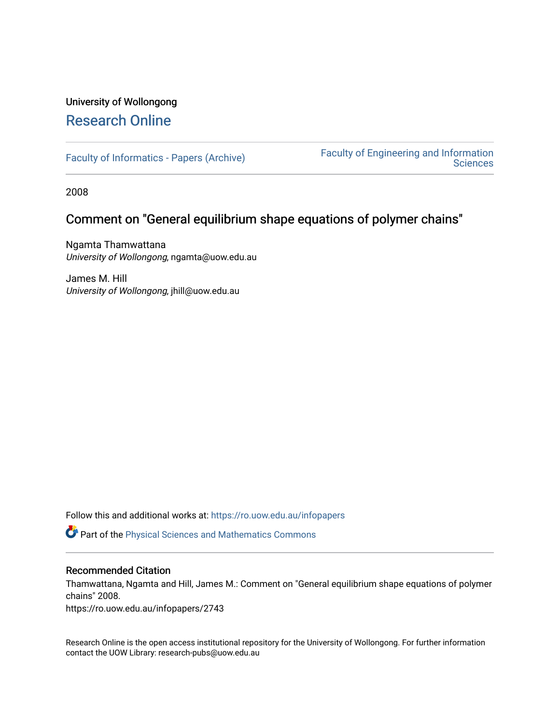# University of Wollongong [Research Online](https://ro.uow.edu.au/)

[Faculty of Informatics - Papers \(Archive\)](https://ro.uow.edu.au/infopapers) [Faculty of Engineering and Information](https://ro.uow.edu.au/eis)  **Sciences** 

2008

### Comment on "General equilibrium shape equations of polymer chains"

Ngamta Thamwattana University of Wollongong, ngamta@uow.edu.au

James M. Hill University of Wollongong, jhill@uow.edu.au

Follow this and additional works at: [https://ro.uow.edu.au/infopapers](https://ro.uow.edu.au/infopapers?utm_source=ro.uow.edu.au%2Finfopapers%2F2743&utm_medium=PDF&utm_campaign=PDFCoverPages)

Part of the [Physical Sciences and Mathematics Commons](http://network.bepress.com/hgg/discipline/114?utm_source=ro.uow.edu.au%2Finfopapers%2F2743&utm_medium=PDF&utm_campaign=PDFCoverPages) 

#### Recommended Citation

Thamwattana, Ngamta and Hill, James M.: Comment on "General equilibrium shape equations of polymer chains" 2008.

https://ro.uow.edu.au/infopapers/2743

Research Online is the open access institutional repository for the University of Wollongong. For further information contact the UOW Library: research-pubs@uow.edu.au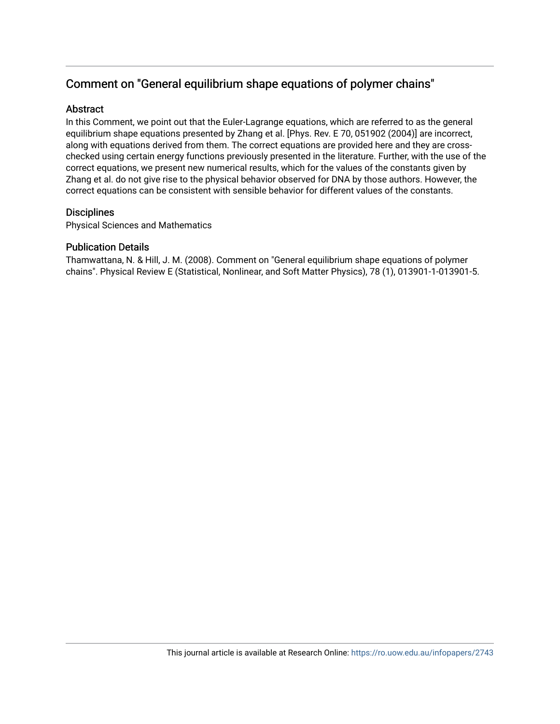# Comment on "General equilibrium shape equations of polymer chains"

### **Abstract**

In this Comment, we point out that the Euler-Lagrange equations, which are referred to as the general equilibrium shape equations presented by Zhang et al. [Phys. Rev. E 70, 051902 (2004)] are incorrect, along with equations derived from them. The correct equations are provided here and they are crosschecked using certain energy functions previously presented in the literature. Further, with the use of the correct equations, we present new numerical results, which for the values of the constants given by Zhang et al. do not give rise to the physical behavior observed for DNA by those authors. However, the correct equations can be consistent with sensible behavior for different values of the constants.

#### **Disciplines**

Physical Sciences and Mathematics

#### Publication Details

Thamwattana, N. & Hill, J. M. (2008). Comment on "General equilibrium shape equations of polymer chains". Physical Review E (Statistical, Nonlinear, and Soft Matter Physics), 78 (1), 013901-1-013901-5.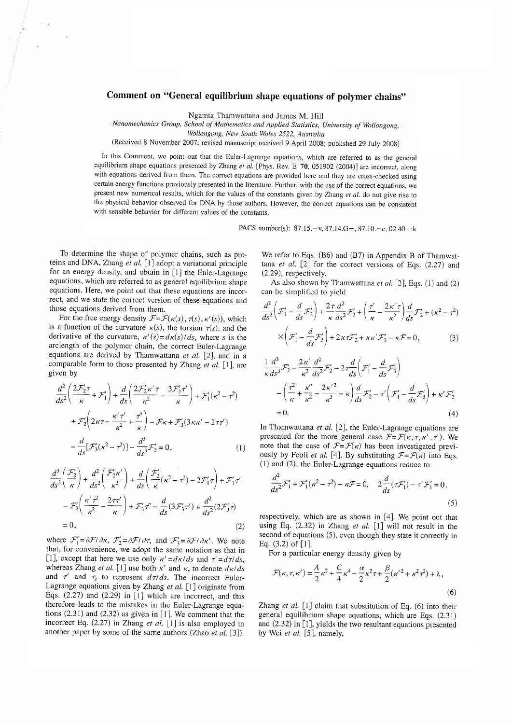### Comment on "General equilibrium shape equations of polymer chains"

Ngamta Thamwattana and James M. Hill

Manomechanics Group, School of Mathematics and Applied Statistics, University of Wollongong,

Wollongong, New South Wales 2522, Australia

(Received 8 November 2007; revised manuscript received 9 April 2008; published 29 July 2008)

In this Comment, we point out that the Euler-Lagrange equations, which are referred to as the general equilibrium shape equations presented by Zhang et al. [Phys. Rev. E 70, 051902 (2004)] are incorrect, along with equations derived from them. The correct equations are provided here and they are cross-checked using certain energy functions previously presented in the literature. Further, with the use of the correct equations, we present new numerical results, which for the values of the constants given by Zhang et al. do not give rise to the physical behavior observed for DNA by those authors. However, the correct equations can be consistent with sensible behavior for different values of the constants.

PACS number(s): 87.15. - v, 87.14.G - , 87.10. - e, 02.40. - k

To determine the shape of polymer chains, such as proteins and DNA, Zhang et al.  $\lceil 1 \rceil$  adopt a variational principle for an energy density, and obtain in [1] the Euler-Lagrange equations, which are referred to as general equilibrium shape equations. Here, we point out that these equations are incorrect, and we state the correct version of these equations and those equations derived from them.

 $\sim$   $_{\rm g2}$ 

For the free energy density  $\mathcal{F} = \mathcal{F}(\kappa(s), \tau(s), \kappa'(s))$ , which is a function of the curvature  $\kappa(s)$ , the torsion  $\tau(s)$ , and the derivative of the curvature,  $\kappa'(s) = d\kappa(s)/ds$ , where s is the arclength of the polymer chain, the correct Euler-Lagrange equations are derived by Thamwattana et al.  $[2]$ , and in a comparable form to those presented by Zhang et al. [1], are given by

$$
\frac{d^2}{ds^2} \left( \frac{2\mathcal{F}_2'\tau}{\kappa} + \mathcal{F}_1' \right) + \frac{d}{ds} \left( \frac{2\mathcal{F}_2'\kappa'\tau}{\kappa^2} - \frac{3\mathcal{F}_2'\tau'}{\kappa} \right) + \mathcal{F}_1'(\kappa^2 - \tau^2)
$$

$$
+ \mathcal{F}_2' \left( 2\kappa\tau - \frac{\kappa'\tau'}{\kappa^2} + \frac{\tau'}{\kappa} \right) - \mathcal{F}\kappa + \mathcal{F}_3' (3\kappa\kappa' - 2\tau\tau')
$$

$$
- \frac{d}{ds} [\mathcal{F}_3'(\kappa^2 - \tau^2)] - \frac{d^3}{ds^3} \mathcal{F}_3' = 0,
$$
(1)

$$
\frac{d^3}{ds^3} \left( \frac{\mathcal{F}_2'}{\kappa} \right) + \frac{d^2}{ds^2} \left( \frac{\mathcal{F}_2' \kappa'}{\kappa^2} \right) + \frac{d}{ds} \left( \frac{\mathcal{F}_2'}{\kappa} (\kappa^2 - \tau^2) - 2\mathcal{F}_1' \tau \right) + \mathcal{F}_1' \tau'
$$

$$
- \mathcal{F}_2' \left( \frac{\kappa' \tau^2}{\kappa^2} - \frac{2\tau \tau'}{\kappa} \right) + \mathcal{F}_3' \tau'' - \frac{d}{ds} (3\mathcal{F}_3' \tau') + \frac{d^2}{ds^2} (2\mathcal{F}_3' \tau)
$$

$$
= 0, \tag{2}
$$

where  $\mathcal{F}'_1 = \partial \mathcal{F}/\partial \kappa$ ,  $\mathcal{F}'_2 = \partial \mathcal{F}/\partial \tau$ , and  $\mathcal{F}'_3 = \partial \mathcal{F}/\partial \kappa'$ . We note that, for convenience, we adopt the same notation as that in [1], except that here we use only  $\kappa' = d\kappa/ds$  and  $\tau' = d\tau/ds$ , whereas Zhang *et al.* [1] use both  $\kappa'$  and  $\kappa_s$  to denote  $d\kappa/ds$ and  $\tau'$  and  $\tau_s$  to represent  $d\tau/ds$ . The incorrect Euler-Lagrange equations given by Zhang et al.  $[1]$  originate from Eqs.  $(2.27)$  and  $(2.29)$  in [1] which are incorrect, and this therefore leads to the mistakes in the Euler-Lagrange equations  $(2.31)$  and  $(2.32)$  as given in [1]. We comment that the incorrect Eq.  $(2.27)$  in Zhang et al. [1] is also employed in another paper by some of the same authors (Zhao *et al.* [3]).

We refer to Eqs. (B6) and (B7) in Appendix B of Thamwattana et al.  $[2]$  for the correct versions of Eqs.  $(2.27)$  and  $(2.29)$ , respectively.

As also shown by Thamwattana et al. [2], Eqs.  $(1)$  and  $(2)$ can be simplified to yield

$$
\frac{d^2}{ds^2} \left( \mathcal{F}_1' - \frac{d}{ds} \mathcal{F}_3' \right) + \frac{2\tau}{\kappa} \frac{d^2}{ds^2} \mathcal{F}_2' + \left( \frac{\tau'}{\kappa} - \frac{2\kappa'\tau}{\kappa^2} \right) \frac{d}{ds} \mathcal{F}_2' + (\kappa^2 - \tau^2)
$$

$$
\times \left( \mathcal{F}_1' - \frac{d}{ds} \mathcal{F}_3' \right) + 2\kappa\tau \mathcal{F}_2' + \kappa\kappa' \mathcal{F}_3' - \kappa\mathcal{F} = 0,
$$
(3)

$$
\frac{1}{\kappa} \frac{d^3}{ds^3} \mathcal{F}'_2 - \frac{2\kappa'}{\kappa^2} \frac{d^2}{ds^2} \mathcal{F}'_2 - 2\tau \frac{d}{ds} \left( \mathcal{F}'_1 - \frac{d}{ds} \mathcal{F}'_3 \right) \n- \left( \frac{\tau^2}{\kappa} + \frac{\kappa''}{\kappa^2} - \frac{2\kappa'^2}{\kappa^3} - \kappa \right) \frac{d}{ds} \mathcal{F}'_2 - \tau' \left( \mathcal{F}'_1 - \frac{d}{ds} \mathcal{F}'_3 \right) + \kappa' \mathcal{F}'_2 \n= 0.
$$
\n(4)

In Thamwattana et al.  $[2]$ , the Euler-Lagrange equations are presented for the more general case  $\mathcal{F} = \mathcal{F}(\kappa, \tau, \kappa', \tau')$ . We note that the case of  $\mathcal{F} = \mathcal{F}(\kappa)$  has been investigated previously by Feoli et al. [4]. By substituting  $\mathcal{F} = \mathcal{F}(\kappa)$  into Eqs.  $(1)$  and  $(2)$ , the Euler-Lagrange equations reduce to

$$
\frac{d^2}{ds^2} \mathcal{F}'_1 + \mathcal{F}'_1(\kappa^2 - \tau^2) - \kappa \mathcal{F} = 0, \quad 2\frac{d}{ds}(\tau \mathcal{F}'_1) - \tau' \mathcal{F}'_1 = 0,
$$
\n(5)

respectively, which are as shown in [4]. We point out that using Eq.  $(2.32)$  in Zhang et al.  $[1]$  will not result in the second of equations (5), even though they state it correctly in Eq.  $(3.2)$  of [1].

For a particular energy density given by

$$
\mathcal{F}(\kappa, \tau, \kappa') = \frac{A}{2} \kappa^2 + \frac{C}{4} \kappa^4 - \frac{\alpha}{2} \kappa^2 \tau + \frac{\beta}{2} (\kappa'^2 + \kappa^2 \tau^2) + \lambda,
$$
\n(6)

Zhang et al.  $[1]$  claim that substitution of Eq. (6) into their general equilibrium shape equations, which are Eqs. (2.31) and  $(2.32)$  in [1], yields the two resultant equations presented by Wei et al. [5], namely,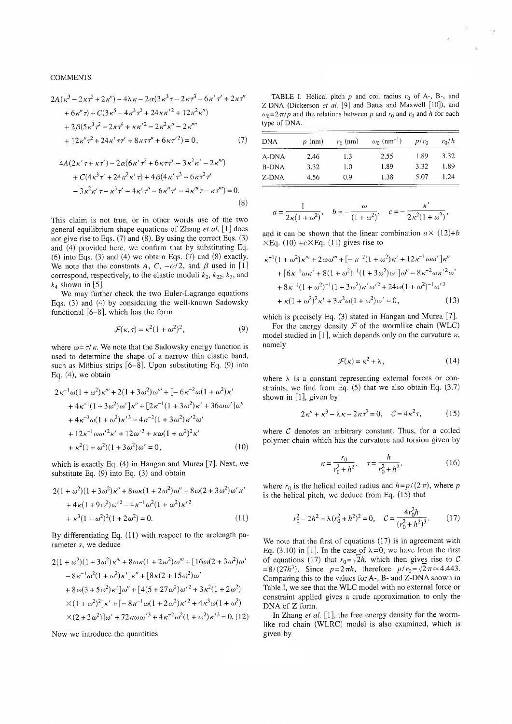**COMMENTS** 

$$
2A(\kappa^3 - 2\kappa\tau^2 + 2\kappa'') - 4\lambda\kappa - 2\alpha(3\kappa^3\tau - 2\kappa\tau^3 + 6\kappa'\tau' + 2\kappa\tau''
$$
  
+ 6\kappa''\tau) + C(3\kappa^5 - 4\kappa^3\tau^2 + 24\kappa\kappa'^2 + 12\kappa^2\kappa'')  
+ 2\beta(5\kappa^3\tau^2 - 2\kappa\tau^4 + \kappa\kappa'^2 - 2\kappa^2\kappa'' - 2\kappa''''  
+ 12\kappa''\tau^2 + 24\kappa'\tau\tau' + 8\kappa\tau\tau'' + 6\kappa\tau'^2) = 0, (7)

$$
4A(2\kappa'\tau + \kappa\tau') - 2\alpha(6\kappa'\tau' + 6\kappa\tau\tau' - 3\kappa^{\kappa}\kappa' - 2\kappa^{n})
$$
  
+  $C(4\kappa^{3}\tau' + 24\kappa^{2}\kappa'\tau) + 4\beta(4\kappa'\tau^{3} + 6\kappa\tau^{2}\tau'$   
-  $3\kappa^{2}\kappa'\tau - \kappa^{3}\tau' - 4\kappa'\tau'' - 6\kappa''\tau' - 4\kappa'''\tau - \kappa\tau''') = 0. (8)$ 

This claim is not true, or in other words use of the two general equilibrium shape equations of Zhang *et al.* [1] does not give rise to Eqs.  $(7)$  and  $(8)$ . By using the correct Eqs.  $(3)$ and (4) provided here, we confirm that by substituting Eq.  $(6)$  into Eqs.  $(3)$  and  $(4)$  we obtain Eqs.  $(7)$  and  $(8)$  exactly. We note that the constants A, C,  $-\alpha/2$ , and  $\beta$  used in [1] correspond, respectively, to the elastic moduli  $k_2$ ,  $k_{22}$ ,  $k_3$ , and  $k_4$  shown in [5].

We may further check the two Euler-Lagrange equations Eqs. (3) and (4) by considering the well-known Sadowsky functional  $[6-8]$ , which has the form

$$
\mathcal{F}(\kappa,\tau) = \kappa^2 (1+\omega^2)^2,\tag{9}
$$

where  $\omega = \tau / \kappa$ . We note that the Sadowsky energy function is used to determine the shape of a narrow thin elastic band, such as Möbius strips  $[6-8]$ . Upon substituting Eq. (9) into Eq.  $(4)$ , we obtain

$$
2\kappa^{-1}\omega(1+\omega^2)\kappa''' + 2(1+3\omega^2)\omega''' + [-6\kappa^{-2}\omega(1+\omega^2)\kappa'+4\kappa^{-1}(1+3\omega^2)\omega']\kappa'' + [2\kappa^{-1}(1+3\omega^2)\kappa' + 36\omega\omega']\omega''+4\kappa^{-3}\omega(1+\omega^2)\kappa'^3 - 4\kappa^{-2}(1+3\omega^2)\kappa'^2\omega'+12\kappa^{-1}\omega\omega'^2\kappa' + 12\omega'^3 + \kappa\omega(1+\omega^2)^2\kappa'+ \kappa^2(1+\omega^2)(1+3\omega^2)\omega' = 0,
$$
 (10)

which is exactly Eq.  $(4)$  in Hangan and Murea [7]. Next, we substitute Eq.  $(9)$  into Eq.  $(3)$  and obtain

$$
2(1 + \omega^2)(1 + 3\omega^2)\kappa'' + 8\omega\kappa(1 + 2\omega^2)\omega'' + 8\omega(2 + 3\omega^2)\omega'\kappa'
$$
  
+ 
$$
4\kappa(1 + 9\omega^2)\omega'^2 - 4\kappa^{-1}\omega^2(1 + \omega^2)\kappa'^2
$$
  
+ 
$$
\kappa^3(1 + \omega^2)^2(1 + 2\omega^2) = 0.
$$
 (11)

By differentiating Eq. (11) with respect to the arclength parameter s, we deduce

$$
2(1 + \omega^2)(1 + 3\omega^2)\kappa''' + 8\omega\kappa(1 + 2\omega^2)\omega''' + [16\omega(2 + 3\omega^2)\omega'- 8\kappa^{-1}\omega^2(1 + \omega^2)\kappa']\kappa'' + [8\kappa(2 + 15\omega^2)\omega'+ 8\omega(3 + 5\omega^2)\kappa']\omega'' + [4(5 + 27\omega^2)\omega'^2 + 3\kappa^2(1 + 2\omega^2)\times(1 + \omega^2)^2]\kappa' + [-8\kappa^{-1}\omega(1 + 2\omega^2)\kappa'^2 + 4\kappa^3\omega(1 + \omega^2)\times(2 + 3\omega^2)]\omega' + 72\kappa\omega\omega'^3 + 4\kappa^{-2}\omega^2(1 + \omega^2)\kappa'^3 = 0. (12)
$$

Now we introduce the quantities

TABLE I. Helical pitch  $p$  and coil radius  $r_0$  of A-, B-, and Z-DNA (Dickerson et al. [9] and Bates and Maxwell [10]), and  $\omega_0 = 2\pi/p$  and the relations between p and  $r_0$  and  $r_0$  and h for each type of DNA.

| <b>DNA</b> | $p$ (nm) | $r_0$ (nm) | $\omega_0$ (nm <sup>-1</sup> ) | $p/r_0$ | $r_0/h$ |
|------------|----------|------------|--------------------------------|---------|---------|
| A-DNA      | 2.46     | 1.3        | 2.55                           | 1.89    | 3.32    |
| B-DNA      | 3.32     | 1.0        | 1.89                           | 3.32    | 1.89    |
| Z-DNA      | 4.56     | 0.9        | 1.38                           | 5.07    | 1.24    |

$$
a = \frac{1}{2\kappa(1 + \omega^2)}, \quad b = -\frac{\omega}{(1 + \omega^2)}, \quad c = -\frac{\kappa'}{2\kappa^2(1 + \omega^2)},
$$

and it can be shown that the linear combination  $a \times (12)+b$  $\times$ Eq. (10) +c $\times$ Eq. (11) gives rise to

$$
\kappa^{-1}(1+\omega^2)\kappa''' + 2\omega\omega''' + [-\kappa^{-2}(1+\omega^2)\kappa' + 12\kappa^{-1}\omega\omega']\kappa''
$$
  
+ 
$$
[6\kappa^{-1}\omega\kappa' + 8(1+\omega^2)^{-1}(1+3\omega^2)\omega']\omega'' - 8\kappa^{-2}\omega\kappa'^2\omega'
$$
  
+ 
$$
8\kappa^{-1}(1+\omega^2)^{-1}(1+3\omega^2)\kappa'\omega'^2 + 24\omega(1+\omega^2)^{-1}\omega'^3
$$
  
+ 
$$
\kappa(1+\omega^2)^2\kappa' + 3\kappa^2\omega(1+\omega^2)\omega' = 0,
$$
 (13)

which is precisely Eq.  $(3)$  stated in Hangan and Murea [7].

For the energy density  $\mathcal F$  of the wormlike chain (WLC) model studied in [1], which depends only on the curvature  $\kappa$ , namely

$$
\mathcal{F}(\kappa) = \kappa^2 + \lambda,\tag{14}
$$

where  $\lambda$  is a constant representing external forces or constraints, we find from Eq.  $(5)$  that we also obtain Eq.  $(3.7)$ shown in  $[1]$ , given by

$$
2\kappa'' + \kappa^3 - \lambda \kappa - 2\kappa \tau^2 = 0, \quad C = 4\kappa^2 \tau, \tag{15}
$$

where  $C$  denotes an arbitrary constant. Thus, for a coiled polymer chain which has the curvature and torsion given by

$$
\kappa = \frac{r_0}{r_0^2 + h^2}, \quad \tau = \frac{h}{r_0^2 + h^2},\tag{16}
$$

where  $r_0$  is the helical coiled radius and  $h = p/(2\pi)$ , where p is the helical pitch, we deduce from Eq. (15) that

$$
r_0^2 - 2h^2 - \lambda (r_0^2 + h^2)^2 = 0, \quad C = \frac{4r_0^2h}{(r_0^2 + h^2)^3}.
$$
 (17)

We note that the first of equations  $(17)$  is in agreement with Eq. (3.10) in [1]. In the case of  $\lambda = 0$ , we have from the first of equations (17) that  $r_0 = \sqrt{2h}$ , which then gives rise to C =8/(27h<sup>3</sup>). Since  $p=2\pi h$ , therefore  $p/r_0 = \sqrt{2}\pi \approx 4.443$ . Comparing this to the values for A-, B- and Z-DNA shown in Table I, we see that the WLC model with no external force or constraint applied gives a crude approximation to only the DNA of Z form.

In Zhang et al.  $[1]$ , the free energy density for the wormlike rod chain (WLRC) model is also examined, which is given by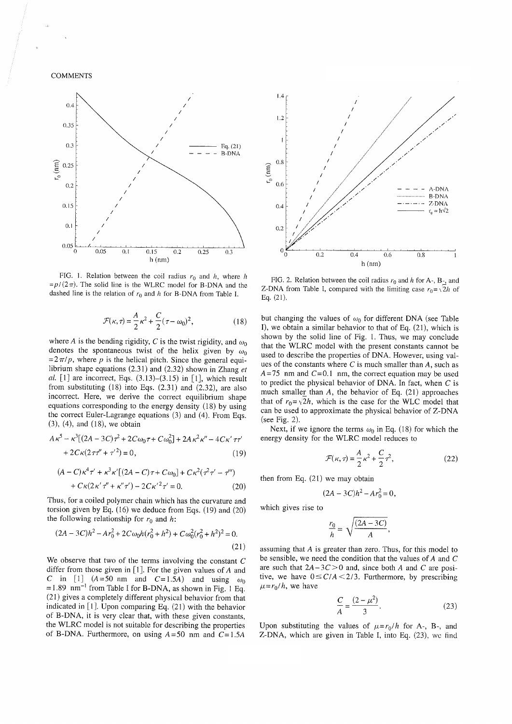**COMMENTS** 



FIG. 1. Relation between the coil radius  $r_0$  and h, where h  $=p/(2\pi)$ . The solid line is the WLRC model for B-DNA and the dashed line is the relation of  $r_0$  and h for B-DNA from Table I.

$$
\mathcal{F}(\kappa,\tau) = \frac{A}{2}\kappa^2 + \frac{C}{2}(\tau - \omega_0)^2,
$$
 (18)

where A is the bending rigidity, C is the twist rigidity, and  $\omega_0$ denotes the spontaneous twist of the helix given by  $\omega_0$  $= 2\pi/p$ , where p is the helical pitch. Since the general equilibrium shape equations  $(2.31)$  and  $(2.32)$  shown in Zhang et al.  $[1]$  are incorrect, Eqs.  $(3.13)$ – $(3.15)$  in  $[1]$ , which result from substituting  $(18)$  into Eqs.  $(2.31)$  and  $(2.32)$ , are also incorrect. Here, we derive the correct equilibrium shape equations corresponding to the energy density (18) by using the correct Euler-Lagrange equations (3) and (4). From Eqs.  $(3)$ ,  $(4)$ , and  $(18)$ , we obtain

$$
A\kappa^{5} - \kappa^{3}[(2A - 3C)\tau^{2} + 2C\omega_{0}\tau + C\omega_{0}^{2}] + 2A\kappa^{2}\kappa'' - 4C\kappa'\tau\tau'
$$
  
+ 2C\kappa(2\tau\tau'' + \tau'^{2}) = 0, (19)

$$
(A - C)\kappa^4 \tau' + \kappa^3 \kappa' [(2A - C)\tau + C\omega_0] + C\kappa^2 (\tau^2 \tau' - \tau'')
$$
  
+  $C\kappa (2\kappa' \tau'' + \kappa'' \tau') - 2C\kappa'^2 \tau' = 0.$  (20)

Thus, for a coiled polymer chain which has the curvature and torsion given by Eq.  $(16)$  we deduce from Eqs.  $(19)$  and  $(20)$ the following relationship for  $r_0$  and h:

$$
(2A - 3C)h2 - Ar02 + 2C\omega_0 h(r02 + h2) + C\omega_02(r02 + h2)2 = 0.
$$
\n(21)

We observe that two of the terms involving the constant  $C$ differ from those given in  $[1]$ . For the given values of A and C in [1]  $(A=50 \text{ nm}$  and  $C=1.5A)$  and using  $\omega_0$  $=1.89$  nm<sup>-1</sup> from Table I for B-DNA, as shown in Fig. 1 Eq. (21) gives a completely different physical behavior from that indicated in  $[1]$ . Upon comparing Eq.  $(21)$  with the behavior of B-DNA, it is very clear that, with these given constants, the WLRC model is not suitable for describing the properties of B-DNA. Furthermore, on using  $A = 50$  nm and  $C = 1.5A$ 



FIG. 2. Relation between the coil radius  $r_0$  and h for A-, B-, and Z-DNA from Table I, compared with the limiting case  $r_0 = \sqrt{2h}$  of Eq.  $(21)$ .

but changing the values of  $\omega_0$  for different DNA (see Table I), we obtain a similar behavior to that of Eq.  $(21)$ , which is shown by the solid line of Fig. 1. Thus, we may conclude that the WLRC model with the present constants cannot be used to describe the properties of DNA. However, using values of the constants where  $C$  is much smaller than  $A$ , such as  $A=75$  nm and  $C=0.1$  nm, the correct equation may be used to predict the physical behavior of DNA. In fact, when  $C$  is much smaller than  $A$ , the behavior of Eq. (21) approaches that of  $r_0 = \sqrt{2h}$ , which is the case for the WLC model that can be used to approximate the physical behavior of Z-DNA (see Fig. 2).

Next, if we ignore the terms  $\omega_0$  in Eq. (18) for which the energy density for the WLRC model reduces to

$$
\mathcal{F}(\kappa,\tau) = \frac{A}{2}\kappa^2 + \frac{C}{2}\tau^2,\tag{22}
$$

then from Eq.  $(21)$  we may obtain

$$
(2A - 3C)h^2 - Ar_0^2 = 0
$$
,

which gives rise to

$$
\frac{r_0}{h} = \sqrt{\frac{(2A - 3C)}{A}},
$$

assuming that A is greater than zero. Thus, for this model to be sensible, we need the condition that the values of  $A$  and  $C$ are such that  $2A-3C>0$  and, since both A and C are positive, we have  $0 \leq C/A \leq 2/3$ . Furthermore, by prescribing  $\mu = r_0/h$ , we have

$$
\frac{C}{A} = \frac{(2 - \mu^2)}{3}.
$$
 (23)

Upon substituting the values of  $\mu = r_0/h$  for A-, B-, and Z-DNA, which are given in Table I, into Eq. (23), we find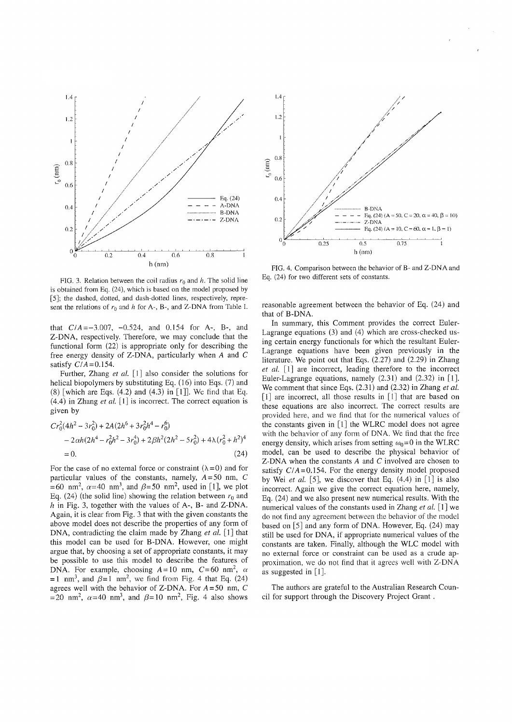

FIG. 3. Relation between the coil radius  $r_0$  and h. The solid line is obtained from Eq. (24), which is based on the model proposed by [5]; the dashed, dotted, and dash-dotted lines, respectively, represent the relations of  $r_0$  and h for A-, B-, and Z-DNA from Table I.

that  $C/A = -3.007$ ,  $-0.524$ , and 0.154 for A-, B-, and Z-DNA, respectively. Therefore, we may conclude that the functional form (22) is appropriate only for describing the free energy density of Z-DNA, particularly when  $A$  and  $C$ satisfy  $C/A = 0.154$ .

Further, Zhang et al.  $[1]$  also consider the solutions for helical biopolymers by substituting Eq. (16) into Eqs. (7) and  $(8)$  [which are Eqs.  $(4.2)$  and  $(4.3)$  in [1]]. We find that Eq.  $(4.4)$  in Zhang *et al.* [1] is incorrect. The correct equation is given by

$$
Cr_0^2(4h^2 - 3r_0^2) + 2A(2h^6 + 3r_0^2h^4 - r_0^6)
$$
  
- 2 $\alpha h(2h^4 - r_0^2h^2 - 3r_0^4) + 2\beta h^2(2h^2 - 5r_0^2) + 4\lambda (r_0^2 + h^2)^4$   
= 0. (24)

For the case of no external force or constraint  $(\lambda = 0)$  and for particular values of the constants, namely,  $A = 50$  nm, C =60 nm<sup>2</sup>,  $\alpha$ =40 nm<sup>3</sup>, and  $\beta$ =50 nm<sup>2</sup>, used in [1], we plot Eq. (24) (the solid line) showing the relation between  $r_0$  and  $h$  in Fig. 3, together with the values of A-, B- and Z-DNA. Again, it is clear from Fig. 3 that with the given constants the above model does not describe the properties of any form of DNA, contradicting the claim made by Zhang et al. [1] that this model can be used for B-DNA. However, one might argue that, by choosing a set of appropriate constants, it may be possible to use this model to describe the features of DNA. For example, choosing  $A=10$  nm,  $C=60$  nm<sup>2</sup>,  $\alpha$ =1 nm<sup>3</sup>, and  $\beta$ =1 nm<sup>2</sup>, we find from Fig. 4 that Eq. (24) agrees well with the behavior of Z-DNA. For  $A = 50$  nm, C =20 nm<sup>2</sup>,  $\alpha$ =40 nm<sup>3</sup>, and  $\beta$ =10 nm<sup>2</sup>, Fig. 4 also shows



FIG. 4. Comparison between the behavior of B- and Z-DNA and Eq. (24) for two different sets of constants.

reasonable agreement between the behavior of Eq. (24) and that of B-DNA.

In summary, this Comment provides the correct Euler-Lagrange equations (3) and (4) which are cross-checked using certain energy functionals for which the resultant Euler-Lagrange equations have been given previously in the literature. We point out that Eqs.  $(2.27)$  and  $(2.29)$  in Zhang et al. [1] are incorrect, leading therefore to the incorrect Euler-Lagrange equations, namely  $(2.31)$  and  $(2.32)$  in [1]. We comment that since Eqs.  $(2.31)$  and  $(2.32)$  in Zhang *et al.*  $\lceil 1 \rceil$  are incorrect, all those results in  $\lceil 1 \rceil$  that are based on these equations are also incorrect. The correct results are provided here, and we find that for the numerical values of the constants given in  $[1]$  the WLRC model does not agree with the behavior of any form of DNA. We find that the free energy density, which arises from setting  $\omega_0 = 0$  in the WLRC model, can be used to describe the physical behavior of Z-DNA when the constants  $A$  and  $C$  involved are chosen to satisfy  $C/A = 0.154$ . For the energy density model proposed by Wei et al. [5], we discover that Eq.  $(4.4)$  in [1] is also incorrect. Again we give the correct equation here, namely, Eq.  $(24)$  and we also present new numerical results. With the numerical values of the constants used in Zhang *et al.* [1] we do not find any agreement between the behavior of the model based on [5] and any form of DNA. However, Eq. (24) may still be used for DNA, if appropriate numerical values of the constants are taken. Finally, although the WLC model with no external force or constraint can be used as a crude approximation, we do not find that it agrees well with Z-DNA as suggested in  $\lceil 1 \rceil$ .

The authors are grateful to the Australian Research Council for support through the Discovery Project Grant.